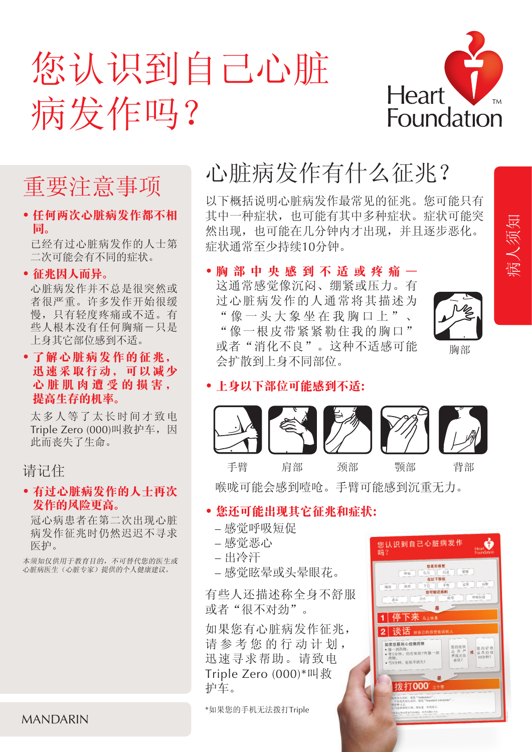# 您认识到自己心脏 病发作吗?



# 重要注意事项

**•** 任何两次心脏病发作都不相 同。

 已经有过心脏病发作的人士第 二次可能会有不同的症状。

#### **•** 征兆因㆟而异。

 心脏病发作并不总是很突然或 者很严重。许多发作开始很缓 慢,只有轻度疼痛或不适。有 些人根本没有任何胸痛一只是 上身其它部位感到不适。

#### **•** 了解心脏病发作的征兆, 迅速采取行动,可以减少 心脏肌肉遭受的损害, 提高生存的机率。

 太多人等了太长时间才致电 Triple Zero (000)叫救护车,因 此而丧失了生命。

#### 请记住

#### • 有过心脏病发作的人士再次 发作的风险更高。

 冠心病患者在第二次出现心脏 病发作征兆时仍然迟迟不寻求 医护。

本须知仅供用于教育目的,不可替代您的医生或 心脏病医生(心脏专家)提供的个人健康建议。

#### 症状通常至少持续10分钟。 **•** 胸部㆗央感到不㊜或疼痛—

这通常感觉像沉闷、绷紧或压力。有 过心脏病发作的人通常将其描述为 "像一头大象坐在我胸口上"、 "像一根皮带紧紧勒住我的胸口" 或者"消化不良"。这种不适感可能 会扩散到上身不同部位。

心脏病发作有什么征兆?

以下概括说明心脏病发作最常见的征兆。您可能只有 其中一种症状,也可能有其中多种症状。症状可能突 然出现,也可能在几分钟内才出现,并且逐步恶化。



病人须知

#### 胸部

#### **•** ㆖身以㆘部位可能感到不㊜:



喉咙可能会感到噎呛。手臂可能感到沉重无力。

#### **•** 您还可能出现其它征兆和症状:

- 感觉呼吸短促
- 感觉恶心
- 出冷汗
- 感觉眩晕或头晕眼花。

有些人还描述称全身不舒服 或者"很不对劲"。

如果您有心脏病发作征兆, 请参考您的行动计划, 迅速寻求帮助。请致电 Triple Zero (000)\*叫救 护车。

\*如果您的手机无法拨打Triple



MANDARIN